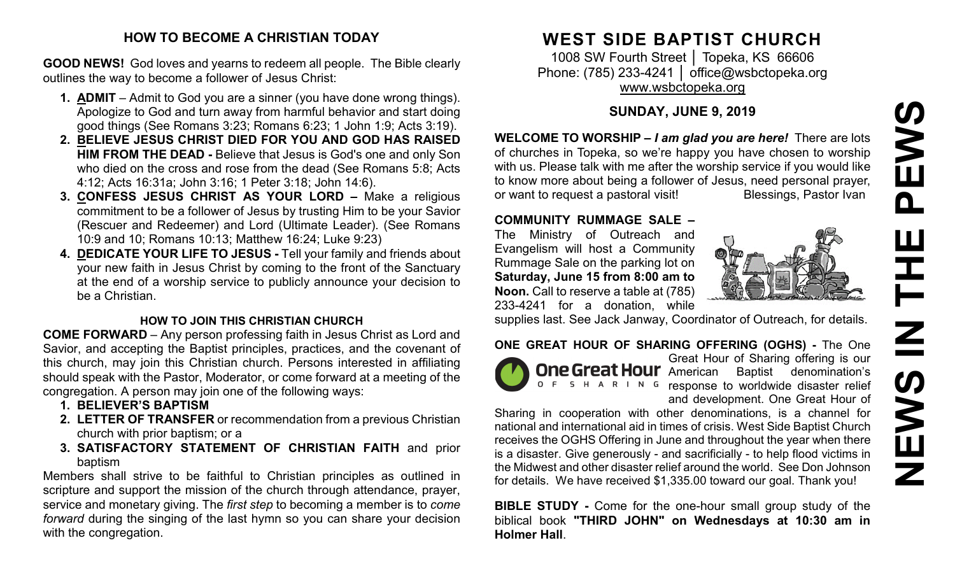## **HOW TO BECOME A CHRISTIAN TODAY**

**GOOD NEWS!** God loves and yearns to redeem all people. The Bible clearly outlines the way to become a follower of Jesus Christ:

- **1. ADMIT** Admit to God you are a sinner (you have done wrong things). Apologize to God and turn away from harmful behavior and start doing good things (See Romans 3:23; Romans 6:23; 1 John 1:9; Acts 3:19).
- **2. BELIEVE JESUS CHRIST DIED FOR YOU AND GOD HAS RAISED HIM FROM THE DEAD -** Believe that Jesus is God's one and only Son who died on the cross and rose from the dead (See Romans 5:8; Acts 4:12; Acts 16:31a; John 3:16; 1 Peter 3:18; John 14:6).
- **3. CONFESS JESUS CHRIST AS YOUR LORD –** Make a religious commitment to be a follower of Jesus by trusting Him to be your Savior (Rescuer and Redeemer) and Lord (Ultimate Leader). (See Romans 10:9 and 10; Romans 10:13; Matthew 16:24; Luke 9:23)
- **4. DEDICATE YOUR LIFE TO JESUS -** Tell your family and friends about your new faith in Jesus Christ by coming to the front of the Sanctuary at the end of a worship service to publicly announce your decision to be a Christian.

### **HOW TO JOIN THIS CHRISTIAN CHURCH**

**COME FORWARD** – Any person professing faith in Jesus Christ as Lord and Savior, and accepting the Baptist principles, practices, and the covenant of this church, may join this Christian church. Persons interested in affiliating should speak with the Pastor, Moderator, or come forward at a meeting of the congregation. A person may join one of the following ways:

- **1. BELIEVER'S BAPTISM**
- **2. LETTER OF TRANSFER** or recommendation from a previous Christian church with prior baptism; or a
- **3. SATISFACTORY STATEMENT OF CHRISTIAN FAITH** and prior baptism

Members shall strive to be faithful to Christian principles as outlined in scripture and support the mission of the church through attendance, prayer, service and monetary giving. The *first step* to becoming a member is to *come forward* during the singing of the last hymn so you can share your decision with the congregation.

# **WEST SIDE BAPTIST CHURCH**

1008 SW Fourth Street │ Topeka, KS 66606 Phone: (785) 233-4241 │ [office@wsbctopeka.org](mailto:office@wsbctopeka.org) [www.wsbctopeka.org](http://www.wsbctopeka.org/)

# **SUNDAY, JUNE 9, 2019**

**WELCOME TO WORSHIP –** *I am glad you are here!* There are lots of churches in Topeka, so we're happy you have chosen to worship with us. Please talk with me after the worship service if you would like to know more about being a follower of Jesus, need personal prayer, or want to request a pastoral visit!<br>
Blessings, Pastor Ivan

## **COMMUNITY RUMMAGE SALE –**

The Ministry of Outreach and Evangelism will host a Community Rummage Sale on the parking lot on **Saturday, June 15 from 8:00 am to Noon.** Call to reserve a table at (785) 233-4241 for a donation, while



supplies last. See Jack Janway, Coordinator of Outreach, for details.

## **ONE GREAT HOUR OF SHARING OFFERING (OGHS) -** The One



Great Hour of Sharing offering is our **One Great Hour** American Baptist denomination's O F S H A R I N G response to worldwide disaster relief and development. One Great Hour of

Sharing in cooperation with other denominations, is a channel for national and international aid in times of crisis. West Side Baptist Church receives the OGHS Offering in June and throughout the year when there is a disaster. Give generously - and sacrificially - to help flood victims in the Midwest and other disaster relief around the world. See Don Johnson for details. We have received \$1,335.00 toward our goal. Thank you!

**BIBLE STUDY -** Come for the one-hour small group study of the biblical book **"THIRD JOHN" on Wednesdays at 10:30 am in Holmer Hall**.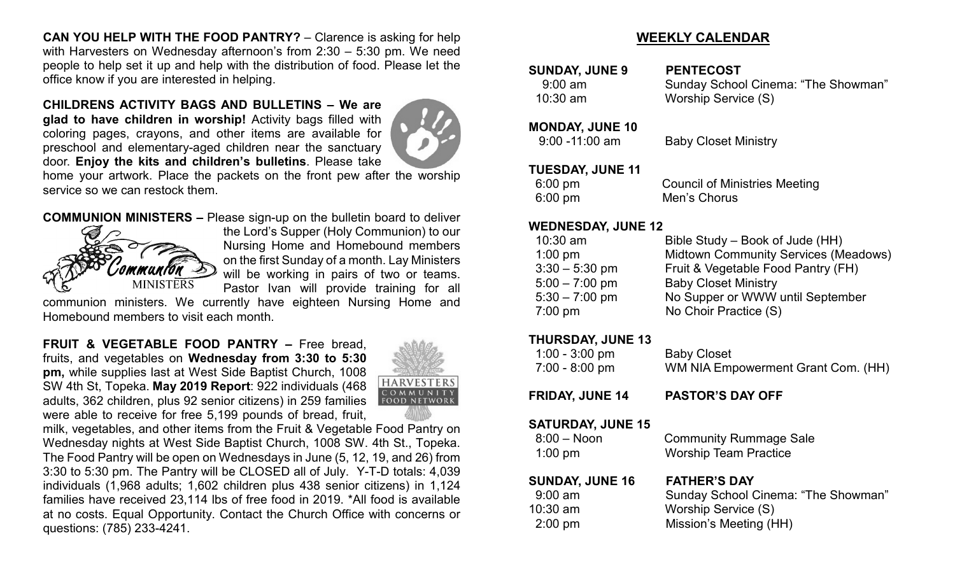**CAN YOU HELP WITH THE FOOD PANTRY?** – Clarence is asking for help with Harvesters on Wednesday afternoon's from 2:30 – 5:30 pm. We need people to help set it up and help with the distribution of food. Please let the office know if you are interested in helping.

#### **CHILDRENS ACTIVITY BAGS AND BULLETINS – We are**

**glad to have children in worship!** Activity bags filled with coloring pages, crayons, and other items are available for preschool and elementary-aged children near the sanctuary door. **Enjoy the kits and children's bulletins**. Please take



home your artwork. Place the packets on the front pew after the worship service so we can restock them.

## **COMMUNION MINISTERS –** Please sign-up on the bulletin board to deliver



the Lord's Supper (Holy Communion) to our Nursing Home and Homebound members on the first Sunday of a month. Lay Ministers will be working in pairs of two or teams. Pastor Ivan will provide training for all

communion ministers. We currently have eighteen Nursing Home and Homebound members to visit each month.

**FRUIT & VEGETABLE FOOD PANTRY –** Free bread, fruits, and vegetables on **Wednesday from 3:30 to 5:30 pm,** while supplies last at West Side Baptist Church, 1008 SW 4th St, Topeka. **May 2019 Report**: 922 individuals (468 adults, 362 children, plus 92 senior citizens) in 259 families were able to receive for free 5,199 pounds of bread, fruit,



milk, vegetables, and other items from the Fruit & Vegetable Food Pantry on Wednesday nights at West Side Baptist Church, 1008 SW. 4th St., Topeka. The Food Pantry will be open on Wednesdays in June (5, 12, 19, and 26) from 3:30 to 5:30 pm. The Pantry will be CLOSED all of July. Y-T-D totals: 4,039 individuals (1,968 adults; 1,602 children plus 438 senior citizens) in 1,124 families have received 23,114 lbs of free food in 2019. \*All food is available at no costs. Equal Opportunity. Contact the Church Office with concerns or questions: (785) 233-4241.

## **WEEKLY CALENDAR**

SUNDAY, JUNE 9 PENTECOST

 9:00 am Sunday School Cinema: "The Showman" 10:30 am Worship Service (S)

### **MONDAY, JUNE 10**

9:00 -11:00 am Baby Closet Ministry

## **TUESDAY, JUNE 11**

 6:00 pm Council of Ministries Meeting 6:00 pm Men's Chorus

#### **WEDNESDAY, JUNE 12**

| $10:30$ am       | Bible Study – Book of Jude (HH)             |
|------------------|---------------------------------------------|
| $1:00$ pm        | <b>Midtown Community Services (Meadows)</b> |
| $3:30 - 5:30$ pm | Fruit & Vegetable Food Pantry (FH)          |
| $5:00 - 7:00$ pm | <b>Baby Closet Ministry</b>                 |
| $5:30 - 7:00$ pm | No Supper or WWW until September            |
| $7:00$ pm        | No Choir Practice (S)                       |
|                  |                                             |

#### **THURSDAY, JUNE 13**

| $1:00 - 3:00$ pm                                        | <b>Baby Closet</b>                                            |
|---------------------------------------------------------|---------------------------------------------------------------|
| 7:00 - 8:00 pm                                          | WM NIA Empowerment Grant Com. (HH)                            |
| <b>FRIDAY, JUNE 14</b>                                  | <b>PASTOR'S DAY OFF</b>                                       |
| <b>SATURDAY, JUNE 15</b><br>$8:00 - N$ oon<br>$1:00$ pm | <b>Community Rummage Sale</b><br><b>Worship Team Practice</b> |
| <b>SUNDAY, JUNE 16</b>                                  | <b>FATHER'S DAY</b>                                           |
| $9:00$ am                                               | Sunday School Cinema: "The Showman"                           |
| $10:30$ am                                              | Worship Service (S)                                           |
| $2:00$ pm                                               | Mission's Meeting (HH)                                        |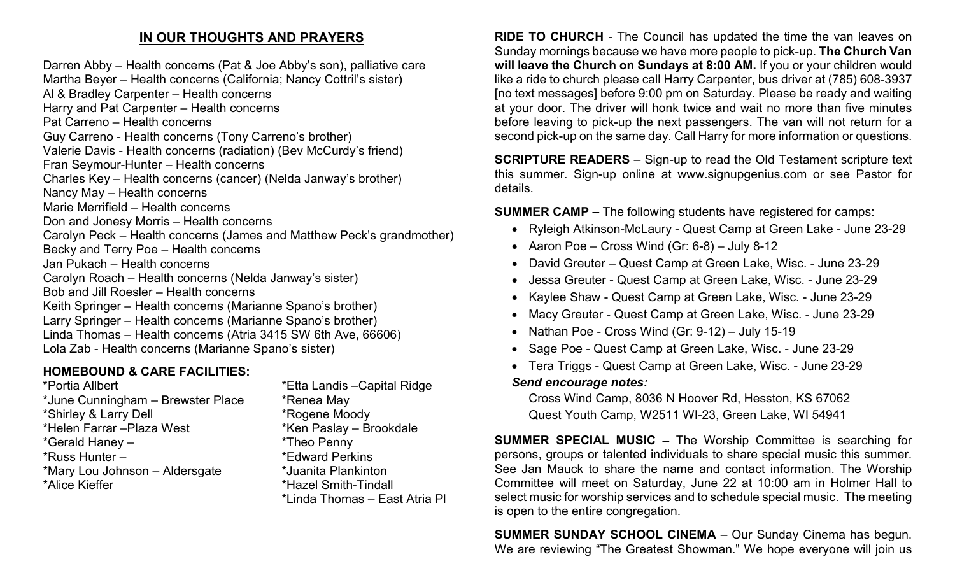# **IN OUR THOUGHTS AND PRAYERS**

Darren Abby – Health concerns (Pat & Joe Abby's son), palliative care Martha Beyer – Health concerns (California; Nancy Cottril's sister) Al & Bradley Carpenter – Health concerns Harry and Pat Carpenter – Health concerns Pat Carreno – Health concerns Guy Carreno - Health concerns (Tony Carreno's brother) Valerie Davis - Health concerns (radiation) (Bev McCurdy's friend) Fran Seymour-Hunter – Health concerns Charles Key – Health concerns (cancer) (Nelda Janway's brother) Nancy May – Health concerns Marie Merrifield – Health concerns Don and Jonesy Morris – Health concerns Carolyn Peck – Health concerns (James and Matthew Peck's grandmother) Becky and Terry Poe – Health concerns Jan Pukach – Health concerns Carolyn Roach – Health concerns (Nelda Janway's sister) Bob and Jill Roesler – Health concerns Keith Springer – Health concerns (Marianne Spano's brother) Larry Springer – Health concerns (Marianne Spano's brother) Linda Thomas – Health concerns (Atria 3415 SW 6th Ave, 66606) Lola Zab - Health concerns (Marianne Spano's sister)

## **HOMEBOUND & CARE FACILITIES:**

\*Portia Allbert \*Etta Landis –Capital Ridge \*June Cunningham – Brewster Place \*Renea May \*Shirley & Larry Dell \*Rogene Moody \*Helen Farrar –Plaza West \*Ken Paslay – Brookdale \*Gerald Haney – \*Theo Penny \*Russ Hunter – \*Edward Perkins \*Mary Lou Johnson – Aldersgate \*Juanita Plankinton \*Alice Kieffer \*Hazel Smith-Tindall

\*Linda Thomas – East Atria Pl

**RIDE TO CHURCH** - The Council has updated the time the van leaves on Sunday mornings because we have more people to pick-up. **The Church Van will leave the Church on Sundays at 8:00 AM.** If you or your children would like a ride to church please call Harry Carpenter, bus driver at (785) 608-3937 [no text messages] before 9:00 pm on Saturday. Please be ready and waiting at your door. The driver will honk twice and wait no more than five minutes before leaving to pick-up the next passengers. The van will not return for a second pick-up on the same day. Call Harry for more information or questions.

**SCRIPTURE READERS** – Sign-up to read the Old Testament scripture text this summer. Sign-up online at www.signupgenius.com or see Pastor for details.

**SUMMER CAMP –** The following students have registered for camps:

- Ryleigh Atkinson-McLaury Quest Camp at Green Lake June 23-29
- Aaron Poe Cross Wind (Gr: 6-8) July 8-12
- David Greuter Quest Camp at Green Lake, Wisc. June 23-29
- Jessa Greuter Quest Camp at Green Lake, Wisc. June 23-29
- Kaylee Shaw Quest Camp at Green Lake, Wisc. June 23-29
- Macy Greuter Quest Camp at Green Lake, Wisc. June 23-29
- Nathan Poe Cross Wind (Gr: 9-12) July 15-19
- Sage Poe Quest Camp at Green Lake, Wisc. June 23-29
- Tera Triggs Quest Camp at Green Lake, Wisc. June 23-29

#### *Send encourage notes:*

Cross Wind Camp, 8036 N Hoover Rd, Hesston, KS 67062 Quest Youth Camp, W2511 WI-23, Green Lake, WI 54941

**SUMMER SPECIAL MUSIC –** The Worship Committee is searching for persons, groups or talented individuals to share special music this summer. See Jan Mauck to share the name and contact information. The Worship Committee will meet on Saturday, June 22 at 10:00 am in Holmer Hall to select music for worship services and to schedule special music. The meeting is open to the entire congregation.

**SUMMER SUNDAY SCHOOL CINEMA** – Our Sunday Cinema has begun. We are reviewing "The Greatest Showman." We hope everyone will join us